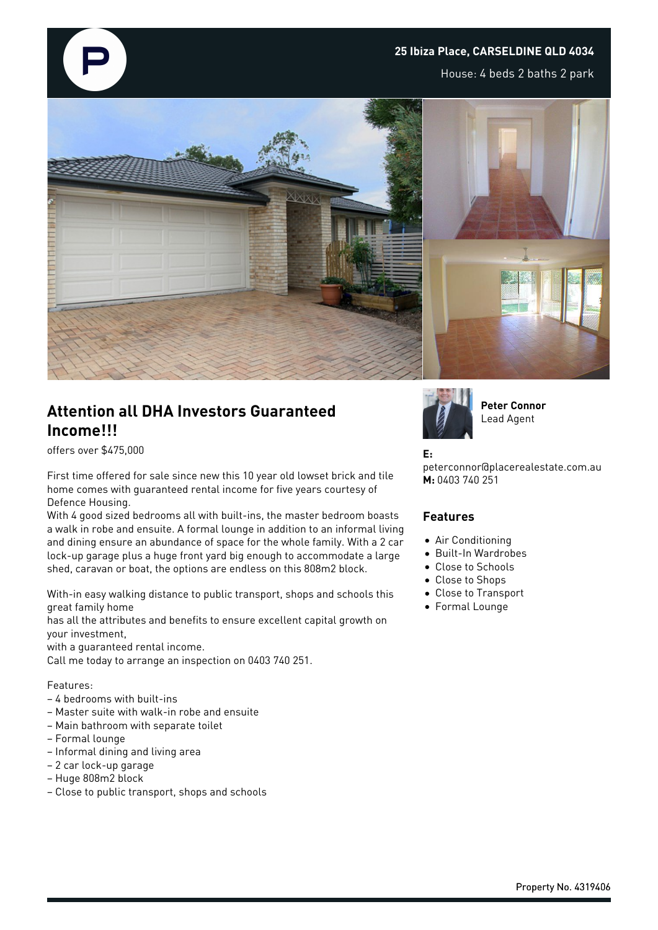## **25 Ibiza Place, CARSELDINE QLD 4034**

House: 4 beds 2 baths 2 park



# **Attention all DHA Investors Guaranteed Income!!!**

offers over \$475,000

First time offered for sale since new this 10 year old lowset brick and tile home comes with guaranteed rental income for five years courtesy of Defence Housing.

With 4 good sized bedrooms all with built-ins, the master bedroom boasts a walk in robe and ensuite. A formal lounge in addition to an informal living and dining ensure an abundance of space for the whole family. With a 2 car lock-up garage plus a huge front yard big enough to accommodate a large shed, caravan or boat, the options are endless on this 808m2 block.

With-in easy walking distance to public transport, shops and schools this great family home

has all the attributes and benefits to ensure excellent capital growth on your investment,

with a guaranteed rental income.

Call me today to arrange an inspection on 0403 740 251.

#### Features:

- 4 bedrooms with built-ins
- Master suite with walk-in robe and ensuite
- Main bathroom with separate toilet
- Formal lounge
- Informal dining and living area
- 2 car lock-up garage
- Huge 808m2 block
- Close to public transport, shops and schools



**Peter Connor** Lead Agent

#### **E:**

peterconnor@placerealestate.com.au **M:** 0403 740 251

### **Features**

- Air Conditioning
- Built-In Wardrobes
- Close to Schools
- Close to Shops
	- Close to Transport
- Formal Lounge